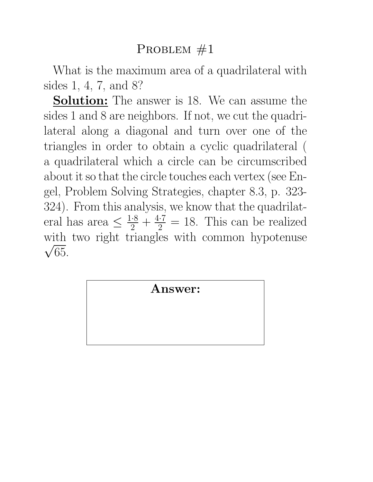What is the maximum area of a quadrilateral with sides 1, 4, 7, and 8?

Solution: The answer is 18. We can assume the sides 1 and 8 are neighbors. If not, we cut the quadrilateral along a diagonal and turn over one of the triangles in order to obtain a cyclic quadrilateral ( a quadrilateral which a circle can be circumscribed about it so that the circle touches each vertex (see Engel, Problem Solving Strategies, chapter 8.3, p. 323- 324). From this analysis, we know that the quadrilateral has area  $\leq \frac{1\cdot 8}{2} + \frac{4\cdot 7}{2} = 18$ . This can be realized with two right triangles with common hypotenuse  $\sqrt{65}$ .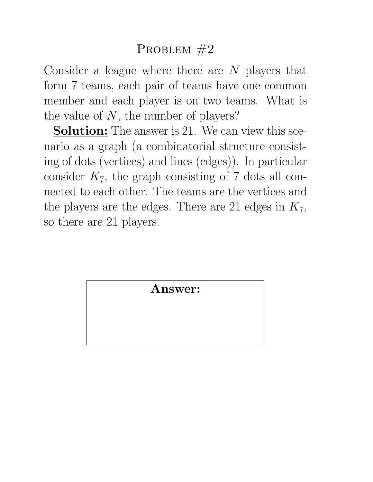Consider a league where there are  $N$  players that form 7 teams, each pair of teams have one common member and each player is on two teams. What is the value of  $N$ , the number of players?

**Solution:** The answer is 21. We can view this scenario as a graph (a combinatorial structure consisting of dots (vertices) and lines (edges)). In particular consider  $K_7$ , the graph consisting of 7 dots all connected to each other. The teams are the vertices and the players are the edges. There are 21 edges in  $K_7$ , so there are 21 players.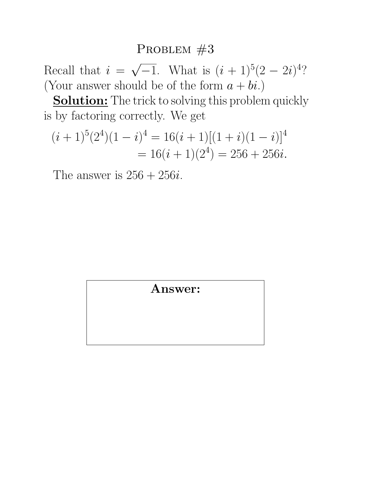Recall that  $i =$ √  $\overline{-1}$ . What is  $(i + 1)^5(2 - 2i)^4$ ? (Your answer should be of the form  $a + bi$ .)

Solution: The trick to solving this problem quickly is by factoring correctly. We get

$$
(i+1)^5(2^4)(1-i)^4 = 16(i+1)[(1+i)(1-i)]^4
$$
  
= 16(i+1)(2^4) = 256 + 256i.

The answer is  $256 + 256i$ .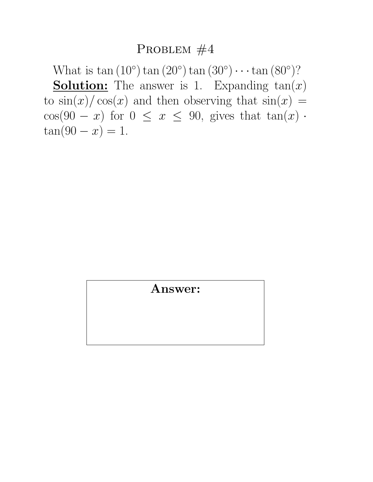What is  $\tan (10^{\circ}) \tan (20^{\circ}) \tan (30^{\circ}) \cdots \tan (80^{\circ})$ ? **Solution:** The answer is 1. Expanding  $tan(x)$ to  $\sin(x)/\cos(x)$  and then observing that  $\sin(x)$  = cos(90 − x) for  $0 \le x \le 90$ , gives that  $tan(x)$ .  $tan(90 - x) = 1.$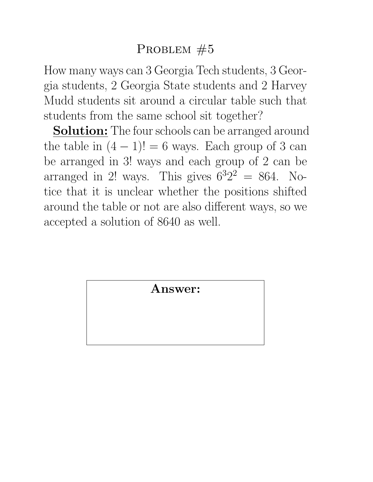How many ways can 3 Georgia Tech students, 3 Georgia students, 2 Georgia State students and 2 Harvey Mudd students sit around a circular table such that students from the same school sit together?

**Solution:** The four schools can be arranged around the table in  $(4 - 1)! = 6$  ways. Each group of 3 can be arranged in 3! ways and each group of 2 can be arranged in 2! ways. This gives  $6^32^2 = 864$ . Notice that it is unclear whether the positions shifted around the table or not are also different ways, so we accepted a solution of 8640 as well.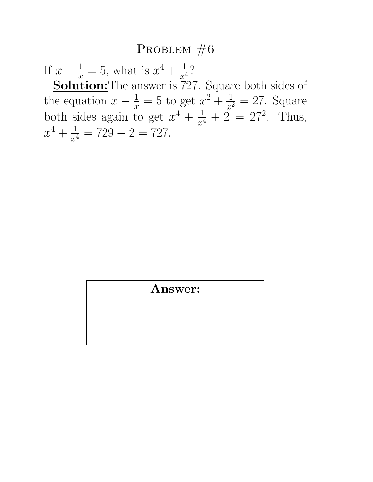If  $x - \frac{1}{x} = 5$ , what is  $x^4 + \frac{1}{x^4}$  $\frac{1}{x^4}$ ? **Solution:** The answer is 727. Square both sides of the equation  $x - \frac{1}{x} = 5$  to get  $x^2 + \frac{1}{x^2}$  $\frac{1}{x^2} = 27$ . Square both sides again to get  $x^4 + \frac{1}{x^4}$  $\frac{1}{x^4} + 2 = 27^2$ . Thus,  $x^4 + \frac{1}{x^4}$  $\frac{1}{x^4} = 729 - 2 = 727.$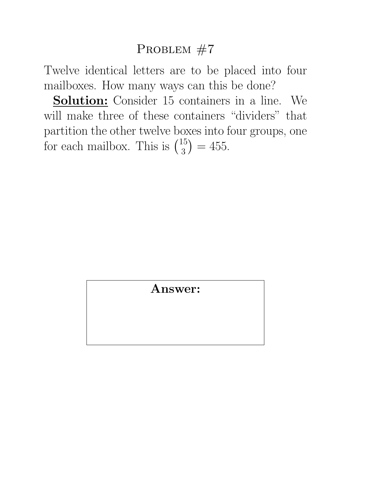Twelve identical letters are to be placed into four mailboxes. How many ways can this be done?

Solution: Consider 15 containers in a line. We will make three of these containers "dividers" that partition the other twelve boxes into four groups, one partition the other twelve b<br>for each mailbox. This is ( 15  $\binom{15}{3} = 455.$ ∑e<br>∖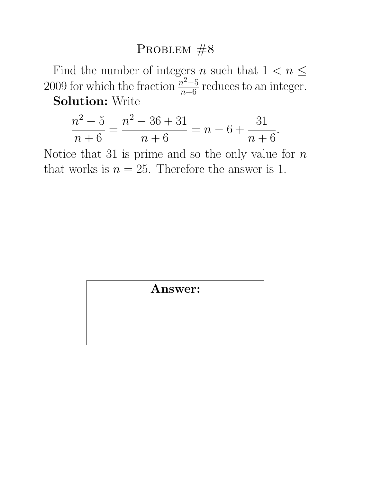Find the number of integers *n* such that  $1 < n \leq$ 2009 for which the fraction  $\frac{n^2-5}{n+6}$  reduces to an integer. **Solution: Write** 

$$
\frac{n^2 - 5}{n + 6} = \frac{n^2 - 36 + 31}{n + 6} = n - 6 + \frac{31}{n + 6}.
$$

Notice that 31 is prime and so the only value for  $n$ that works is  $n = 25$ . Therefore the answer is 1.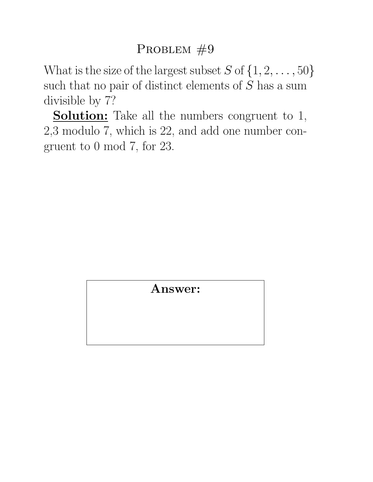What is the size of the largest subset  $S$  of  $\{1, 2, \ldots, 50\}$ such that no pair of distinct elements of  $S$  has a sum divisible by 7?

**Solution:** Take all the numbers congruent to 1, 2,3 modulo 7, which is 22, and add one number congruent to 0 mod 7, for 23.